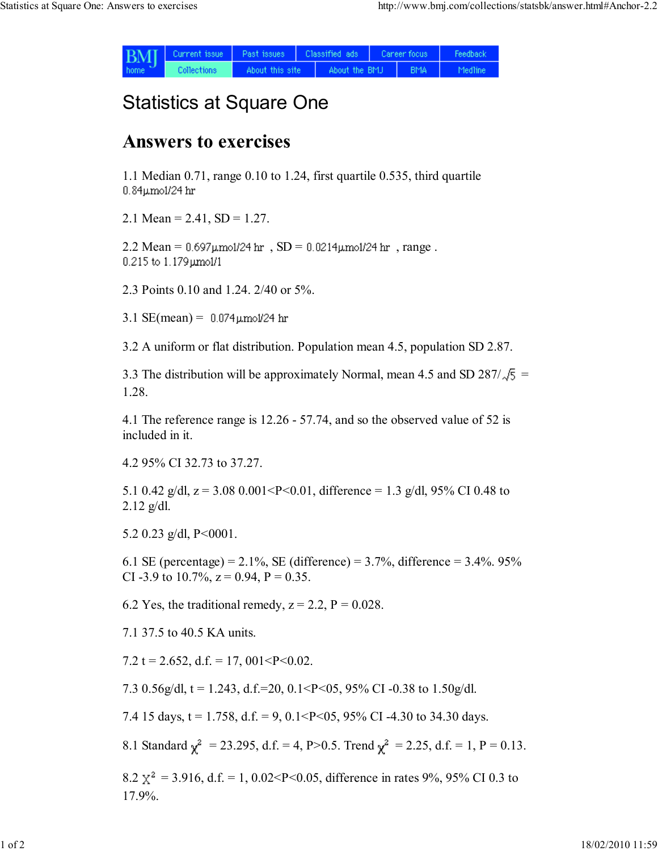| <b>BMI</b><br>home. | Current issue | Past issues     | Classified ads |               | Career focus |            | Feedback |
|---------------------|---------------|-----------------|----------------|---------------|--------------|------------|----------|
|                     | Collections   | About this site |                | About the BMJ |              | <b>BMA</b> | Medline  |

## Statistics at Square One

## Answers to exercises

1.1 Median 0.71, range 0.10 to 1.24, first quartile 0.535, third quartile 0.84µmol/24 hr

2.1 Mean =  $2.41$ , SD =  $1.27$ .

 $2.2$  Mean =  $0.697 \mu$ mol/24 hr,  $SD = 0.0214 \mu$ mol/24 hr, range.  $0.215$  to  $1.179$   $\mu$ mol/1

2.3 Points 0.10 and 1.24. 2/40 or 5%.

3.1  $SE(mean) = 0.074 \mu m o l / 24$  hr

3.2 A uniform or flat distribution. Population mean 4.5, population SD 2.87.

3.3 The distribution will be approximately Normal, mean 4.5 and SD 287/ $\sqrt{5}$  = 1.28.

4.1 The reference range is 12.26 - 57.74, and so the observed value of 52 is included in it.

4.2 95% CI 32.73 to 37.27.

5.1 0.42 g/dl,  $z = 3.08$  0.001<P<0.01, difference = 1.3 g/dl, 95% CI 0.48 to  $2.12$  g/dl.

5.2 0.23 g/dl,  $P < 0001$ .

6.1 SE (percentage) =  $2.1\%$ , SE (difference) =  $3.7\%$ , difference =  $3.4\%$ . 95% CI -3.9 to 10.7%,  $z = 0.94$ ,  $P = 0.35$ .

6.2 Yes, the traditional remedy,  $z = 2.2$ ,  $P = 0.028$ .

7.1 37.5 to 40.5 KA units.

7.2 t = 2.652, d.f. = 17, 001<P<0.02.

7.3 0.56g/dl,  $t = 1.243$ , d.f.=20, 0.1<P<05, 95% CI-0.38 to 1.50g/dl.

7.4 15 days,  $t = 1.758$ ,  $d.f. = 9$ ,  $0.1 < P < 0.5$ ,  $95\%$  CI -4.30 to 34.30 days.

8.1 Standard  $\gamma^2 = 23.295$ , d.f. = 4, P>0.5. Trend  $\gamma^2 = 2.25$ , d.f. = 1, P = 0.13.

8.2  $\chi^2$  = 3.916, d.f. = 1, 0.02<P<0.05, difference in rates 9%, 95% CI 0.3 to 17.9%.